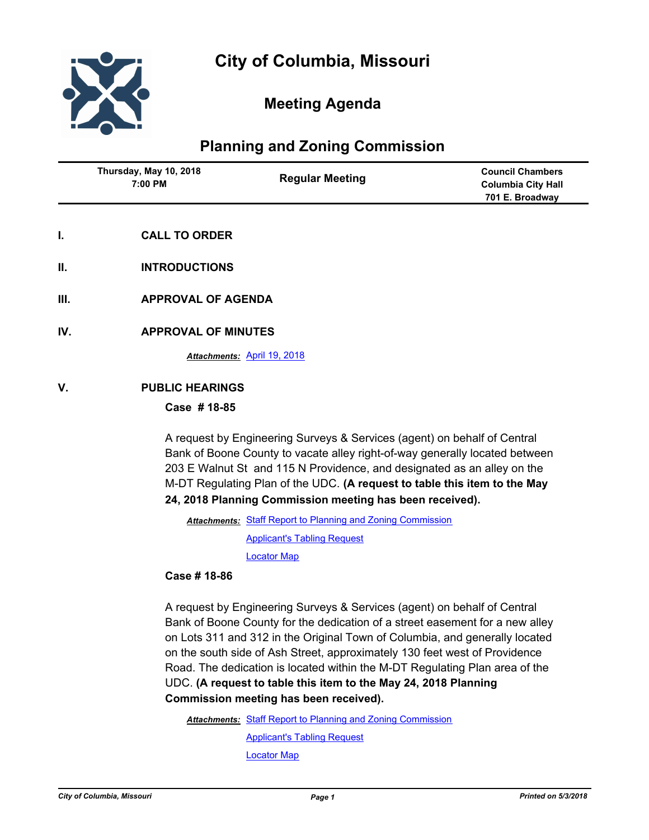

# **Meeting Agenda**

## **Planning and Zoning Commission**

| Thursday, May 10, 2018<br>7:00 PM | <b>Regular Meeting</b> | <b>Council Chambers</b><br><b>Columbia City Hall</b> |
|-----------------------------------|------------------------|------------------------------------------------------|
|                                   |                        | 701 E. Broadway                                      |
|                                   |                        |                                                      |

- **I. CALL TO ORDER**
- **II. INTRODUCTIONS**
- **III. APPROVAL OF AGENDA**
- **IV. APPROVAL OF MINUTES**

*Attachments:* [April 19, 2018](http://gocolumbiamo.legistar.com/gateway.aspx?M=F&ID=7654e419-9fdf-44f5-89df-5b228ed52290.doc)

### **V. PUBLIC HEARINGS**

#### **Case # 18-85**

A request by Engineering Surveys & Services (agent) on behalf of Central Bank of Boone County to vacate alley right-of-way generally located between 203 E Walnut St and 115 N Providence, and designated as an alley on the M-DT Regulating Plan of the UDC. **(A request to table this item to the May 24, 2018 Planning Commission meeting has been received).**

Attachments: [Staff Report to Planning and Zoning Commission](http://gocolumbiamo.legistar.com/gateway.aspx?M=F&ID=81ced69e-3b39-45c2-b0c0-9aae9d37a4f4.pdf)

[Applicant's Tabling Request](http://gocolumbiamo.legistar.com/gateway.aspx?M=F&ID=a9a74cd7-4b16-4d1c-a77e-005b41729f51.pdf)

[Locator Map](http://gocolumbiamo.legistar.com/gateway.aspx?M=F&ID=fd3a65c7-46cf-4c2b-9309-efb591230691.pdf)

#### **Case # 18-86**

A request by Engineering Surveys & Services (agent) on behalf of Central Bank of Boone County for the dedication of a street easement for a new alley on Lots 311 and 312 in the Original Town of Columbia, and generally located on the south side of Ash Street, approximately 130 feet west of Providence Road. The dedication is located within the M-DT Regulating Plan area of the UDC. **(A request to table this item to the May 24, 2018 Planning Commission meeting has been received).**

Attachments: [Staff Report to Planning and Zoning Commission](http://gocolumbiamo.legistar.com/gateway.aspx?M=F&ID=9fce91c0-d2df-4402-839c-c2f746eac977.pdf)

[Applicant's Tabling Request](http://gocolumbiamo.legistar.com/gateway.aspx?M=F&ID=309a9424-7ba0-4b61-bb6e-08d541eeb56f.pdf)

[Locator Map](http://gocolumbiamo.legistar.com/gateway.aspx?M=F&ID=abe95992-f113-4ea8-9998-c4237c0337d9.pdf)